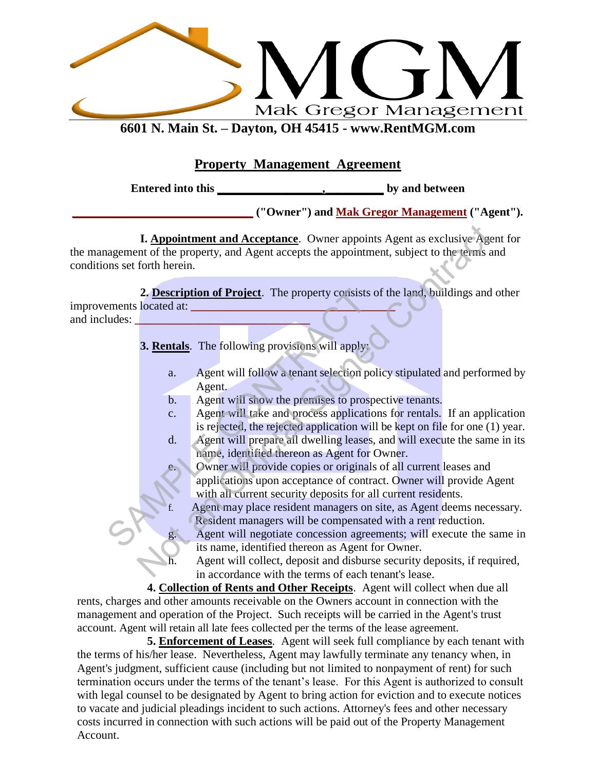

**6601 N. Main St. – Dayton, OH 45415 - [www.RentMGM.com](http://www.rentmgm.com/)**

#### **Property Management Agreement**

**Entered into this \_\_\_\_\_\_\_\_\_\_\_\_\_\_\_\_\_\_,\_\_\_\_\_\_\_\_\_\_ by and between** 

**\_\_\_\_\_\_\_\_\_\_\_\_\_\_\_\_\_\_\_\_\_\_\_\_\_\_\_\_\_\_\_ ("Owner") and Mak Gregor Management ("Agent").**

**I. Appointment and Acceptance**. Owner appoints Agent as exclusive Agent for the management of the property, and Agent accepts the appointment, subject to the terms and conditions set forth herein. **I.** <u>Appointment and Acceptance</u>. Owner appoints Agent as exclusive Agent of the property, and Agent accepts the appointment, subject to the terms a<br> **2. Description of Project**. The property consists of the land, buildi

**2. Description of Project**. The property consists of the land, buildings and other improvements located at: **\_\_\_\_\_\_\_\_\_\_\_\_\_\_\_\_\_\_\_\_\_\_\_\_\_\_\_\_\_\_\_\_\_\_\_** 2. **Description of Project**. The property consists c<br>
ments located at:<br> **3. <u>Rentals</u>**. The following provisions will apply:<br>
a. Agent will follow a tenant selection pol<br>
Agent.<br>
b. Agent will show the premises to prospec

and includes:

**3. Rentals**. The following provisions will apply:

- a. Agent will follow a tenant selection policy stipulated and performed by Agent.
- b. Agent will show the premises to prospective tenants.
- c. Agent will take and process applications for rentals. If an application is rejected, the rejected application will be kept on file for one (1) year.
- d. Agent will prepare all dwelling leases, and will execute the same in its name, identified thereon as Agent for Owner.
	- Owner will provide copies or originals of all current leases and applications upon acceptance of contract. Owner will provide Agent with all current security deposits for all current residents.
	- Agent may place resident managers on site, as Agent deems necessary. Resident managers will be compensated with a rent reduction.
	- Agent will negotiate concession agreements; will execute the same in its name, identified thereon as Agent for Owner.
	- h. Agent will collect, deposit and disburse security deposits, if required, in accordance with the terms of each tenant's lease.

**4. Collection of Rents and Other Receipts**. Agent will collect when due all rents, charges and other amounts receivable on the Owners account in connection with the management and operation of the Project. Such receipts will be carried in the Agent's trust account. Agent will retain all late fees collected per the terms of the lease agreement.

**5. Enforcement of Leases**. Agent will seek full compliance by each tenant with the terms of his/her lease. Nevertheless, Agent may lawfully terminate any tenancy when, in Agent's judgment, sufficient cause (including but not limited to nonpayment of rent) for such termination occurs under the terms of the tenant's lease. For this Agent is authorized to consult with legal counsel to be designated by Agent to bring action for eviction and to execute notices to vacate and judicial pleadings incident to such actions. Attorney's fees and other necessary costs incurred in connection with such actions will be paid out of the Property Management Account.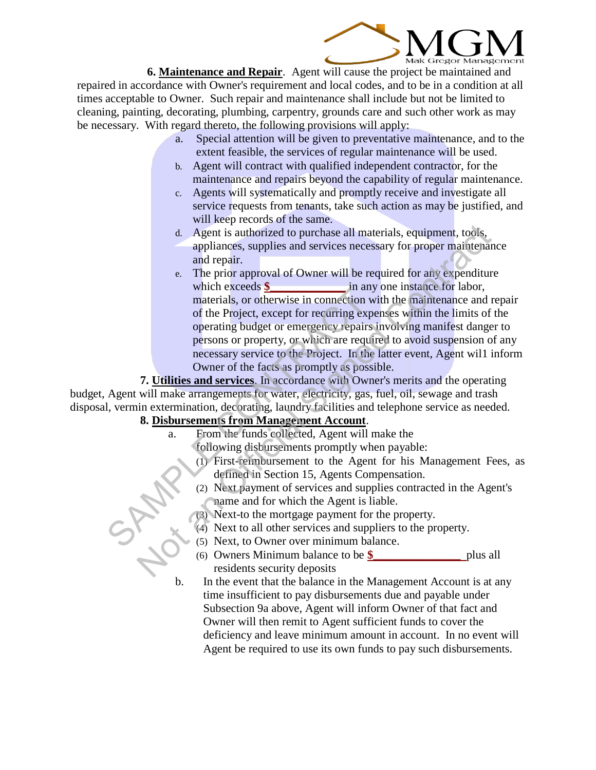

**6. Maintenance and Repair**. Agent will cause the project be maintained and repaired in accordance with Owner's requirement and local codes, and to be in a condition at all times acceptable to Owner. Such repair and maintenance shall include but not be limited to cleaning, painting, decorating, plumbing, carpentry, grounds care and such other work as may be necessary. With regard thereto, the following provisions will apply:

- a. Special attention will be given to preventative maintenance, and to the extent feasible, the services of regular maintenance will be used.
- b. Agent will contract with qualified independent contractor, for the maintenance and repairs beyond the capability of regular maintenance.
- c. Agents will systematically and promptly receive and investigate all service requests from tenants, take such action as may be justified, and will keep records of the same.
- d. Agent is authorized to purchase all materials, equipment, tools, appliances, supplies and services necessary for proper maintenance and repair.
- e. The prior approval of Owner will be required for any expenditure which exceeds **\$** in any one instance for labor, materials, or otherwise in connection with the maintenance and repair of the Project, except for recurring expenses within the limits of the operating budget or emergency repairs involving manifest danger to persons or property, or which are required to avoid suspension of any necessary service to the Project. In the latter event, Agent wil1 inform Owner of the facts as promptly as possible. materials, or of the Project, except for recurring experimentials, or of the Project, except for recurring experiency repairs<br>operating budget or emergency repairs in errosons or property, or which are require<br>necessary se d. Agent is authorized to purchase all materials, equipment, tools,<br>appliances, supplies and services necessary for proper maintenar<br>and repair.<br>The prior approval of Owner will be required for any expenditure<br>which excee

**7. Utilities and services**. In accordance with Owner's merits and the operating

budget, Agent will make arrangements for water, electricity, gas, fuel, oil, sewage and trash disposal, vermin extermination, decorating, laundry facilities and telephone service as needed.

#### **8. Disbursements from Management Account**.

- a. From the funds collected, Agent will make the
	- following disbursements promptly when payable:
	- (1) First-reimbursement to the Agent for his Management Fees, as defined in Section 15, Agents Compensation.
	- (2) Next payment of services and supplies contracted in the Agent's name and for which the Agent is liable.
	- (3) Next-to the mortgage payment for the property.
	- (4) Next to all other services and suppliers to the property.
	- (5) Next, to Owner over minimum balance.
	- (6) Owners Minimum balance to be **\$\_\_\_\_\_\_\_\_\_\_\_\_\_\_\_** plus all residents security deposits
	- b. In the event that the balance in the Management Account is at any time insufficient to pay disbursements due and payable under Subsection 9a above, Agent will inform Owner of that fact and Owner will then remit to Agent sufficient funds to cover the deficiency and leave minimum amount in account. In no event will Agent be required to use its own funds to pay such disbursements.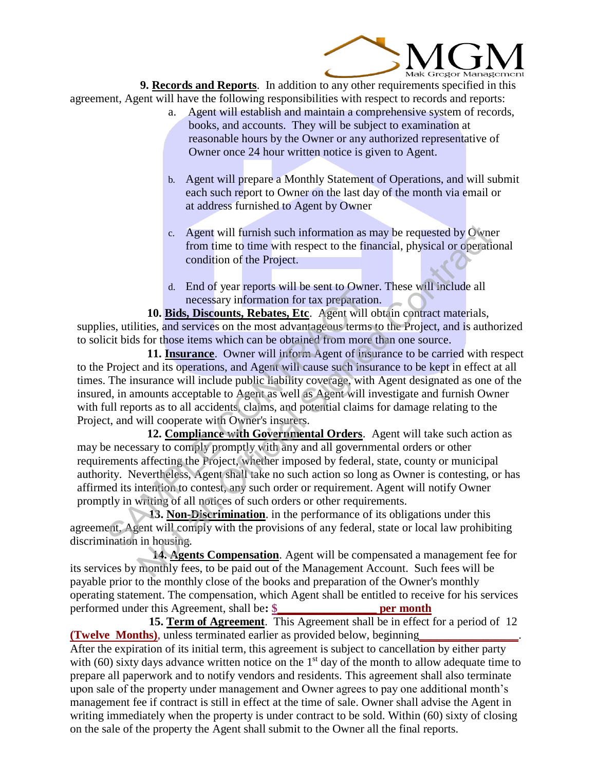

**9. Records and Reports**. In addition to any other requirements specified in this agreement, Agent will have the following responsibilities with respect to records and reports:

- a. Agent will establish and maintain a comprehensive system of records, books, and accounts. They will be subject to examination at reasonable hours by the Owner or any authorized representative of Owner once 24 hour written notice is given to Agent.
- b. Agent will prepare a Monthly Statement of Operations, and will submit each such report to Owner on the last day of the month via email or at address furnished to Agent by Owner
- c. Agent will furnish such information as may be requested by Owner from time to time with respect to the financial, physical or operational condition of the Project.
- d. End of year reports will be sent to Owner. These will include all necessary information for tax preparation.

**10. Bids, Discounts, Rebates, Etc**. Agent will obtain contract materials, supplies, utilities, and services on the most advantageous terms to the Project, and is authorized to solicit bids for those items which can be obtained from more than one source.

**11. Insurance**. Owner will inform Agent of insurance to be carried with respect to the Project and its operations, and Agent will cause such insurance to be kept in effect at all times. The insurance will include public liability coverage, with Agent designated as one of the insured, in amounts acceptable to Agent as well as Agent will investigate and furnish Owner with full reports as to all accidents, claims, and potential claims for damage relating to the Project, and will cooperate with Owner's insurers.

**12. Compliance with Governmental Orders**. Agent will take such action as may be necessary to comply promptly with any and all governmental orders or other requirements affecting the Project, whether imposed by federal, state, county or municipal authority. Nevertheless, Agent shall take no such action so long as Owner is contesting, or has affirmed its intention to contest, any such order or requirement. Agent will notify Owner promptly in writing of all notices of such orders or other requirements. 10. **Example 10.** The origin increases in the scale to overall inconsections of the parality information for tax preparations, the set is and services on the most advantageous terms of cit bids for those items which can be c. Agent will furnish such information as may be requested by Own<br>from time to time with respect to the financial, physical or operation<br>condition of the Project.<br>d. End of year reports will be sent to Owner. These will in

 **13. Non-Discrimination**. in the performance of its obligations under this agreement, Agent will comply with the provisions of any federal, state or local law prohibiting discrimination in housing.

 **14. Agents Compensation**. Agent will be compensated a management fee for its services by monthly fees, to be paid out of the Management Account. Such fees will be payable prior to the monthly close of the books and preparation of the Owner's monthly operating statement. The compensation, which Agent shall be entitled to receive for his services performed under this Agreement, shall be**: \$\_\_\_\_\_\_\_\_\_\_\_\_\_\_\_\_\_ per month**

 **15. Term of Agreement**. This Agreement shall be in effect for a period of 12 **(Twelve Months)**, unless terminated earlier as provided below, beginning After the expiration of its initial term, this agreement is subject to cancellation by either party with (60) sixty days advance written notice on the  $1<sup>st</sup>$  day of the month to allow adequate time to prepare all paperwork and to notify vendors and residents. This agreement shall also terminate upon sale of the property under management and Owner agrees to pay one additional month's management fee if contract is still in effect at the time of sale. Owner shall advise the Agent in writing immediately when the property is under contract to be sold. Within (60) sixty of closing on the sale of the property the Agent shall submit to the Owner all the final reports.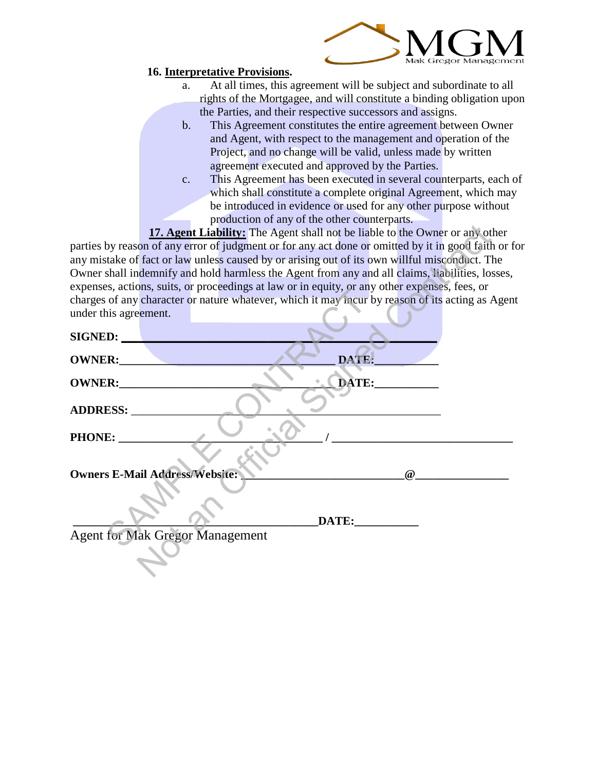

#### **16. Interpretative Provisions.**

- a. At all times, this agreement will be subject and subordinate to all rights of the Mortgagee, and will constitute a binding obligation upon the Parties, and their respective successors and assigns.
- b. This Agreement constitutes the entire agreement between Owner and Agent, with respect to the management and operation of the Project, and no change will be valid, unless made by written agreement executed and approved by the Parties.
- c. This Agreement has been executed in several counterparts, each of which shall constitute a complete original Agreement, which may be introduced in evidence or used for any other purpose without production of any of the other counterparts.

|                                        | 17. Agent Liability: The Agent shall not be liable to the Owner or any other                       |       |          |  |
|----------------------------------------|----------------------------------------------------------------------------------------------------|-------|----------|--|
|                                        | parties by reason of any error of judgment or for any act done or omitted by it in good faith or f |       |          |  |
|                                        | any mistake of fact or law unless caused by or arising out of its own willful misconduct. The      |       |          |  |
|                                        | Owner shall indemnify and hold harmless the Agent from any and all claims, liabilities, losses,    |       |          |  |
|                                        | expenses, actions, suits, or proceedings at law or in equity, or any other expenses, fees, or      |       |          |  |
|                                        | charges of any character or nature whatever, which it may incur by reason of its acting as Agen    |       |          |  |
| under this agreement.                  |                                                                                                    |       |          |  |
| SIGNED:                                |                                                                                                    |       |          |  |
| OWNER:                                 |                                                                                                    | DATE: |          |  |
| OWNER:                                 |                                                                                                    | DATE: |          |  |
| ADDRESS:                               |                                                                                                    |       |          |  |
| PHONE:                                 |                                                                                                    |       |          |  |
|                                        |                                                                                                    |       |          |  |
| <b>Owners E-Mail Address/Website:</b>  |                                                                                                    |       | $\omega$ |  |
|                                        |                                                                                                    | DATE: |          |  |
| <b>Agent for Mak Gregor Management</b> |                                                                                                    |       |          |  |
|                                        |                                                                                                    |       |          |  |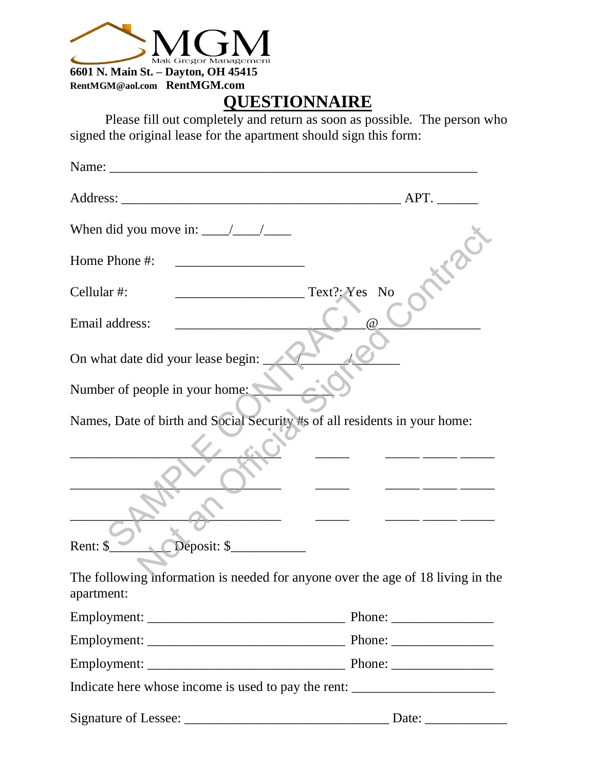

**[RentMGM@aol.com](mailto:RentMGM@aol.com) RentMGM.com**

# **QUESTIONNAIRE**

Please fill out completely and return as soon as possible. The person who signed the original lease for the apartment should sign this form:

| Name:                                                                                         |               |
|-----------------------------------------------------------------------------------------------|---------------|
| Address: APT.                                                                                 |               |
| When did you move in: $\frac{1}{\sqrt{1-\frac{1}{2}}}\frac{1}{\sqrt{1-\frac{1}{2}}}}$         |               |
| Home Phone #:                                                                                 |               |
| Cellular#:<br><u> 1989 - Johann Barbara, martxa alemani</u> ar a                              | Text?: Yes No |
| Email address:                                                                                | $\omega$      |
| On what date did your lease begin:                                                            |               |
| Number of people in your home:                                                                |               |
| Names, Date of birth and Social Security #s of all residents in your home:                    |               |
|                                                                                               |               |
| Deposit: \$<br>Rent: \$                                                                       |               |
| The following information is needed for anyone over the age of 18 living in the<br>apartment: |               |
|                                                                                               |               |
|                                                                                               |               |
|                                                                                               |               |
| Indicate here whose income is used to pay the rent: _____________________________             |               |
|                                                                                               |               |